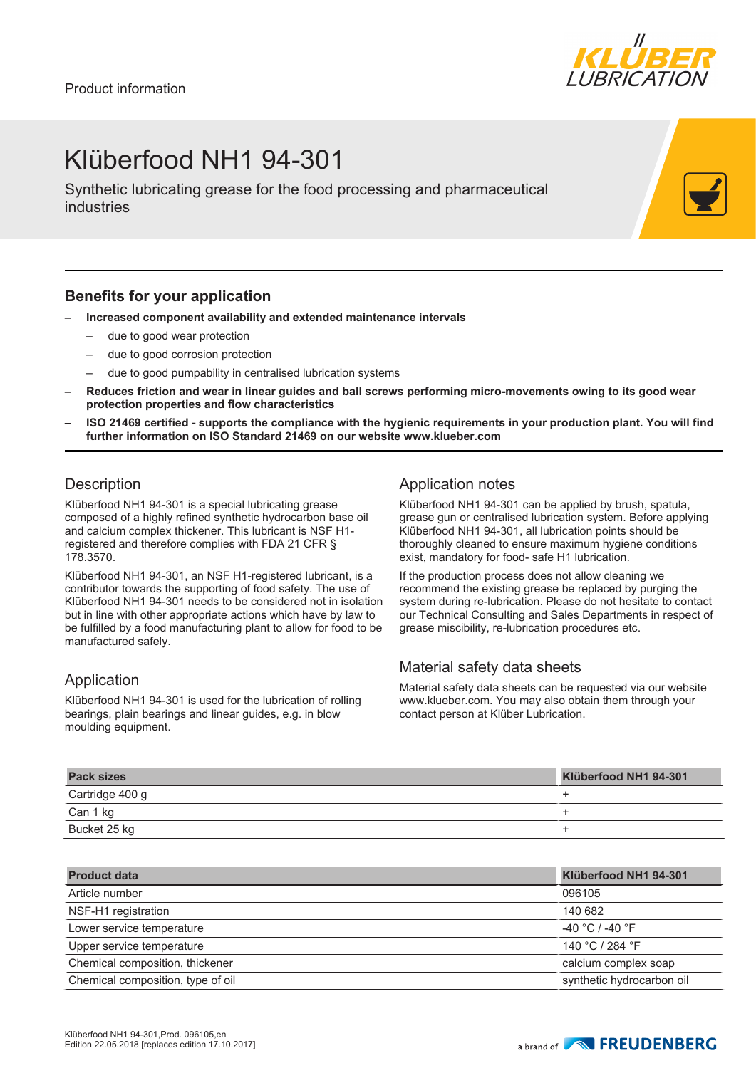

# Klüberfood NH1 94-301

Synthetic lubricating grease for the food processing and pharmaceutical industries

#### **Benefits for your application**

- **– Increased component availability and extended maintenance intervals**
	- due to good wear protection
	- due to good corrosion protection
	- due to good pumpability in centralised lubrication systems
- **– Reduces friction and wear in linear guides and ball screws performing micro-movements owing to its good wear protection properties and flow characteristics**
- **– ISO 21469 certified supports the compliance with the hygienic requirements in your production plant. You will find further information on ISO Standard 21469 on our website www.klueber.com**

### **Description**

Klüberfood NH1 94-301 is a special lubricating grease composed of a highly refined synthetic hydrocarbon base oil and calcium complex thickener. This lubricant is NSF H1 registered and therefore complies with FDA 21 CFR § 178.3570.

Klüberfood NH1 94-301, an NSF H1-registered lubricant, is a contributor towards the supporting of food safety. The use of Klüberfood NH1 94-301 needs to be considered not in isolation but in line with other appropriate actions which have by law to be fulfilled by a food manufacturing plant to allow for food to be manufactured safely.

### Application

Klüberfood NH1 94-301 is used for the lubrication of rolling bearings, plain bearings and linear guides, e.g. in blow moulding equipment.

### Application notes

Klüberfood NH1 94-301 can be applied by brush, spatula, grease gun or centralised lubrication system. Before applying Klüberfood NH1 94-301, all lubrication points should be thoroughly cleaned to ensure maximum hygiene conditions exist, mandatory for food- safe H1 lubrication.

If the production process does not allow cleaning we recommend the existing grease be replaced by purging the system during re-lubrication. Please do not hesitate to contact our Technical Consulting and Sales Departments in respect of grease miscibility, re-lubrication procedures etc.

### Material safety data sheets

Material safety data sheets can be requested via our website www.klueber.com. You may also obtain them through your contact person at Klüber Lubrication.

| <b>Pack sizes</b> | Klüberfood NH1 94-301 |
|-------------------|-----------------------|
| Cartridge 400 g   |                       |
| Can 1 kg          |                       |
| Bucket 25 kg      |                       |

| <b>Product data</b>               | Klüberfood NH1 94-301     |
|-----------------------------------|---------------------------|
| Article number                    | 096105                    |
| NSF-H1 registration               | 140 682                   |
| Lower service temperature         | $-40 °C$ / -40 $°F$       |
| Upper service temperature         | 140 °C / 284 °F           |
| Chemical composition, thickener   | calcium complex soap      |
| Chemical composition, type of oil | synthetic hydrocarbon oil |